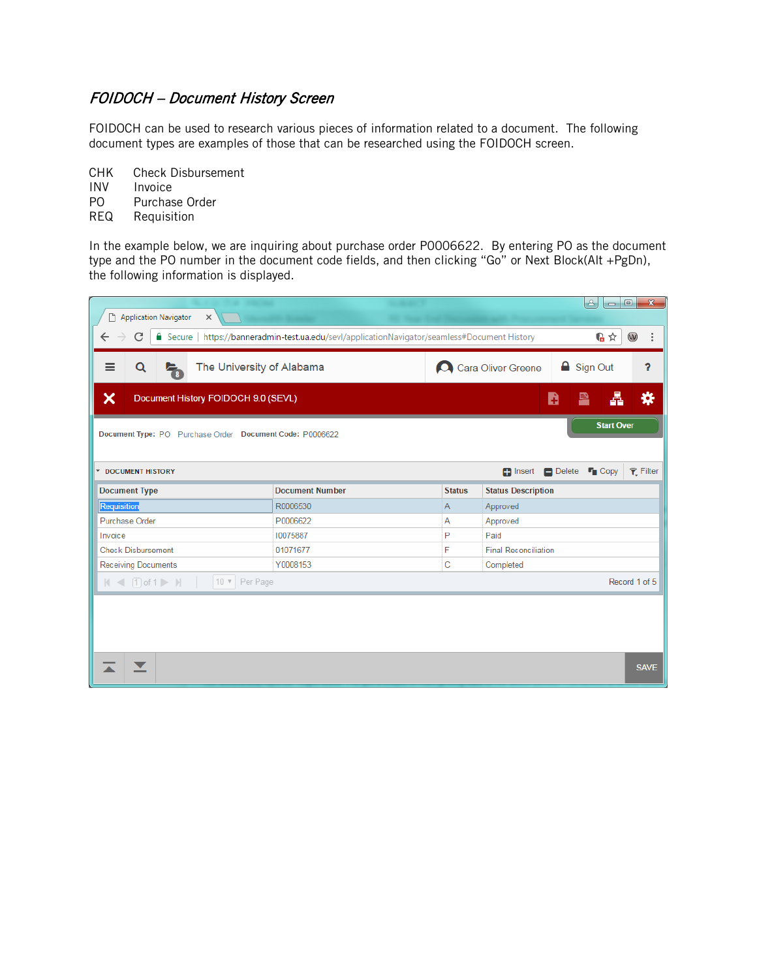## FOIDOCH – Document History Screen

FOIDOCH can be used to research various pieces of information related to a document. The following document types are examples of those that can be researched using the FOIDOCH screen.

CHK Check Disbursement

**INV** Invoice<br>PO Purchas Purchase Order

REQ Requisition

In the example below, we are inquiring about purchase order P0006622. By entering PO as the document type and the PO number in the document code fields, and then clicking "Go" or Next Block(Alt +PgDn), the following information is displayed.

|                                                                                                                                                              |                                         |                                         | $ - 0 $<br><b>B</b><br>$\mathbf{x}$ |  |  |  |  |  |  |  |  |
|--------------------------------------------------------------------------------------------------------------------------------------------------------------|-----------------------------------------|-----------------------------------------|-------------------------------------|--|--|--|--|--|--|--|--|
| Application Navigator<br>$\times$                                                                                                                            |                                         |                                         |                                     |  |  |  |  |  |  |  |  |
| 临☆<br>$\circledcirc$<br>C<br>■ Secure   https://banneradmin-test.ua.edu/sevl/applicationNavigator/seamless#Document History<br>$\leftarrow$<br>$\rightarrow$ |                                         |                                         |                                     |  |  |  |  |  |  |  |  |
| ≡<br>Q<br>The University of Alabama<br>$\overline{\tau}_{\scriptscriptstyle{8}}$                                                                             |                                         | <b>△</b> Sign Out<br>Cara Oliver Greene |                                     |  |  |  |  |  |  |  |  |
| ×<br>n<br>B<br>Document History FOIDOCH 9.0 (SEVL)                                                                                                           |                                         |                                         |                                     |  |  |  |  |  |  |  |  |
| <b>Start Over</b><br>Document Type: PO Purchase Order Document Code: P0006622                                                                                |                                         |                                         |                                     |  |  |  |  |  |  |  |  |
|                                                                                                                                                              |                                         |                                         |                                     |  |  |  |  |  |  |  |  |
| <b>Painsert Delete F</b> Copy<br>$P$ Filter<br><b>T DOCUMENT HISTORY</b>                                                                                     |                                         |                                         |                                     |  |  |  |  |  |  |  |  |
| <b>Document Type</b>                                                                                                                                         | <b>Document Number</b><br><b>Status</b> |                                         | <b>Status Description</b>           |  |  |  |  |  |  |  |  |
| Requisition                                                                                                                                                  | R0006530                                | A                                       | Approved                            |  |  |  |  |  |  |  |  |
| Purchase Order                                                                                                                                               | P0006622                                | A                                       | Approved                            |  |  |  |  |  |  |  |  |
| Invoice                                                                                                                                                      | 10075887                                | P                                       | Paid                                |  |  |  |  |  |  |  |  |
| <b>Check Disbursement</b>                                                                                                                                    | 01071677                                | F                                       | <b>Final Reconciliation</b>         |  |  |  |  |  |  |  |  |
| <b>Receiving Documents</b>                                                                                                                                   | Y0008153                                | С                                       | Completed                           |  |  |  |  |  |  |  |  |
| $ A  \leq  B $ of 1 $ A $<br>10 v Per Page                                                                                                                   |                                         |                                         | Record 1 of 5                       |  |  |  |  |  |  |  |  |
|                                                                                                                                                              |                                         |                                         |                                     |  |  |  |  |  |  |  |  |
|                                                                                                                                                              |                                         |                                         |                                     |  |  |  |  |  |  |  |  |
|                                                                                                                                                              |                                         |                                         |                                     |  |  |  |  |  |  |  |  |
|                                                                                                                                                              |                                         |                                         |                                     |  |  |  |  |  |  |  |  |
|                                                                                                                                                              |                                         |                                         | <b>SAVE</b>                         |  |  |  |  |  |  |  |  |